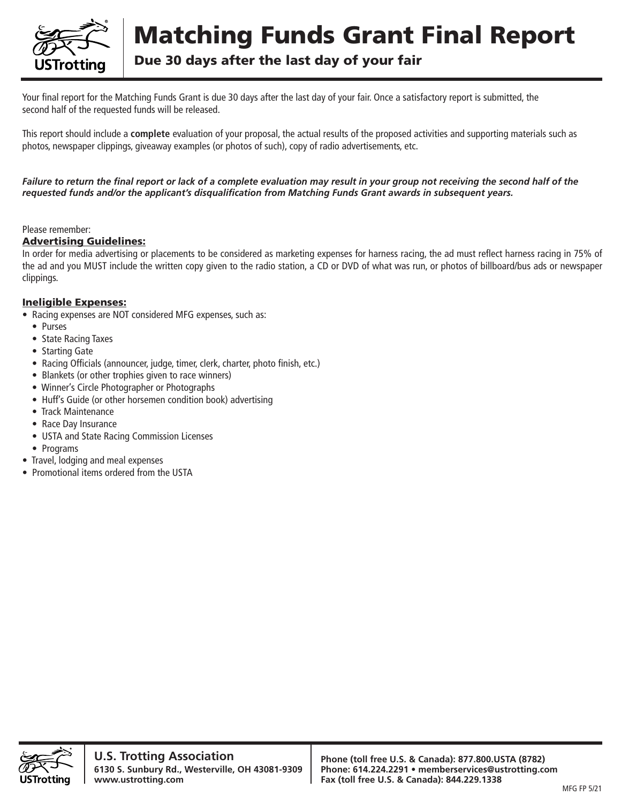

# Matching Funds Grant Final Report

Due 30 days after the last day of your fair

Your final report for the Matching Funds Grant is due 30 days after the last day of your fair. Once a satisfactory report is submitted, the second half of the requested funds will be released.

This report should include a **complete** evaluation of your proposal, the actual results of the proposed activities and supporting materials such as photos, newspaper clippings, giveaway examples (or photos of such), copy of radio advertisements, etc.

*Failure to return the final report or lack of a complete evaluation may result in your group not receiving the second half of the requested funds and/or the applicant's disqualification from Matching Funds Grant awards in subsequent years.*

#### Please remember:

#### Advertising Guidelines:

In order for media advertising or placements to be considered as marketing expenses for harness racing, the ad must reflect harness racing in 75% of the ad and you MUST include the written copy given to the radio station, a CD or DVD of what was run, or photos of billboard/bus ads or newspaper clippings.

#### Ineligible Expenses:

- Racing expenses are NOT considered MFG expenses, such as:
	- Purses
	- State Racing Taxes
	- Starting Gate
	- Racing Officials (announcer, judge, timer, clerk, charter, photo finish, etc.)
	- Blankets (or other trophies given to race winners)
	- Winner's Circle Photographer or Photographs
	- Huff's Guide (or other horsemen condition book) advertising
	- Track Maintenance
	- Race Day Insurance
	- USTA and State Racing Commission Licenses
	- Programs
- Travel, lodging and meal expenses
- Promotional items ordered from the USTA